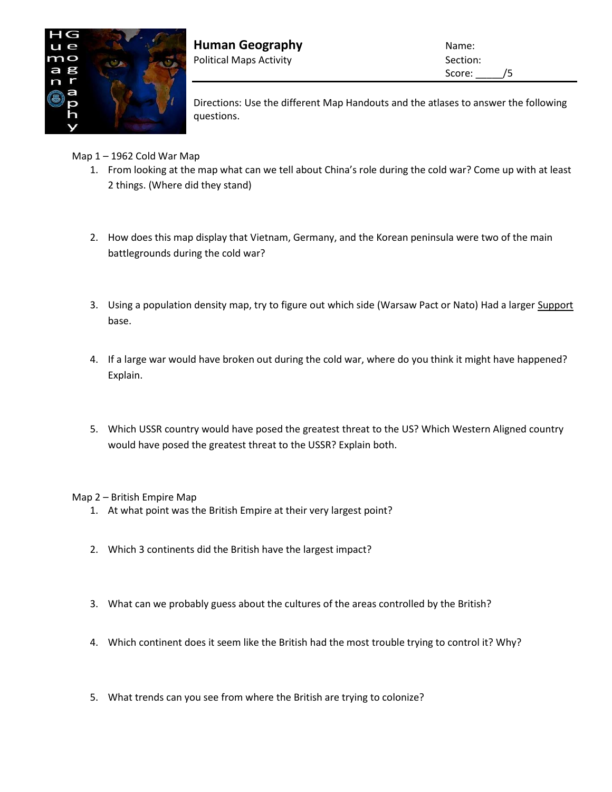

**Human Geography Name:** Name: Political Maps Activity **Section:** Section:

Score: /5

Directions: Use the different Map Handouts and the atlases to answer the following questions.

Map 1 – 1962 Cold War Map

- 1. From looking at the map what can we tell about China's role during the cold war? Come up with at least 2 things. (Where did they stand)
- 2. How does this map display that Vietnam, Germany, and the Korean peninsula were two of the main battlegrounds during the cold war?
- 3. Using a population density map, try to figure out which side (Warsaw Pact or Nato) Had a larger Support base.
- 4. If a large war would have broken out during the cold war, where do you think it might have happened? Explain.
- 5. Which USSR country would have posed the greatest threat to the US? Which Western Aligned country would have posed the greatest threat to the USSR? Explain both.

Map 2 – British Empire Map

- 1. At what point was the British Empire at their very largest point?
- 2. Which 3 continents did the British have the largest impact?
- 3. What can we probably guess about the cultures of the areas controlled by the British?
- 4. Which continent does it seem like the British had the most trouble trying to control it? Why?
- 5. What trends can you see from where the British are trying to colonize?